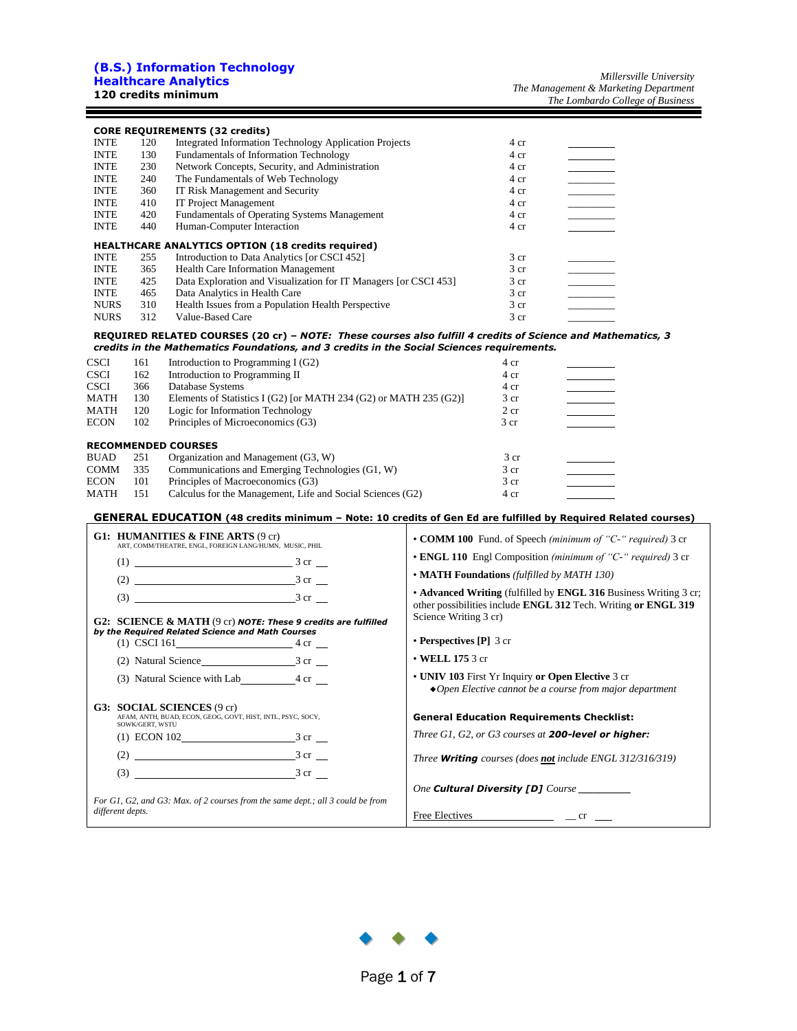#### **(B.S.) Information Technology Healthcare Analytics 120 credits minimum**

|             |     | <b>CORE REQUIREMENTS (32 credits)</b>                            |                 |  |
|-------------|-----|------------------------------------------------------------------|-----------------|--|
| <b>INTE</b> | 120 | <b>Integrated Information Technology Application Projects</b>    | 4 cr            |  |
| <b>INTE</b> | 130 | <b>Fundamentals of Information Technology</b>                    | 4 cr            |  |
| <b>INTE</b> | 230 | Network Concepts, Security, and Administration                   | 4 cr            |  |
| <b>INTE</b> | 240 | The Fundamentals of Web Technology                               | 4 cr            |  |
| <b>INTE</b> | 360 | IT Risk Management and Security                                  | 4 cr            |  |
| <b>INTE</b> | 410 | <b>IT Project Management</b>                                     | 4 cr            |  |
| <b>INTE</b> | 420 | <b>Fundamentals of Operating Systems Management</b>              | 4 cr            |  |
| <b>INTE</b> | 440 | Human-Computer Interaction                                       | 4 cr            |  |
|             |     | <b>HEALTHCARE ANALYTICS OPTION (18 credits required)</b>         |                 |  |
| <b>INTE</b> | 255 | Introduction to Data Analytics [or CSCI 452]                     | 3 <sub>cr</sub> |  |
| <b>INTE</b> | 365 | <b>Health Care Information Management</b>                        | 3 <sub>cr</sub> |  |
| <b>INTE</b> | 425 | Data Exploration and Visualization for IT Managers [or CSCI 453] | 3 <sub>cr</sub> |  |
| <b>INTE</b> | 465 | Data Analytics in Health Care                                    | 3 <sub>cr</sub> |  |
| <b>NURS</b> | 310 | Health Issues from a Population Health Perspective               | 3 <sub>cr</sub> |  |
| <b>NURS</b> | 312 | Value-Based Care                                                 | 3 <sub>cr</sub> |  |

#### **REQUIRED RELATED COURSES (20 cr) –** *NOTE: These courses also fulfill 4 credits of Science and Mathematics, 3 credits in the Mathematics Foundations, and 3 credits in the Social Sciences requirements.*

| <b>CSCI</b> | 161 | Introduction to Programming $I(G2)$                               | 4 cr            |  |
|-------------|-----|-------------------------------------------------------------------|-----------------|--|
| <b>CSCI</b> | 162 | Introduction to Programming II                                    | 4 cr            |  |
| <b>CSCI</b> | 366 | Database Systems                                                  | 4 cr            |  |
| MATH        | 130 | Elements of Statistics I (G2) [or MATH 234 (G2) or MATH 235 (G2)] | 3 <sub>cr</sub> |  |
| <b>MATH</b> | 120 | Logic for Information Technology                                  | 2 cr            |  |
| <b>ECON</b> | 102 | Principles of Microeconomics (G3)                                 | 3 <sub>cr</sub> |  |
|             |     | <b>RECOMMENDED COURSES</b>                                        |                 |  |
| <b>BUAD</b> | 251 | Organization and Management (G3, W)                               | 3 <sub>cr</sub> |  |
| <b>COMM</b> | 335 | Communications and Emerging Technologies (G1, W)                  | 3 <sub>cr</sub> |  |
| <b>ECON</b> | 101 | Principles of Macroeconomics (G3)                                 | 3 <sub>cr</sub> |  |
| <b>MATH</b> | 151 | Calculus for the Management, Life and Social Sciences (G2)        | 4 cr            |  |

#### **GENERAL EDUCATION (48 credits minimum – Note: 10 credits of Gen Ed are fulfilled by Required Related courses)**

| G1: HUMANITIES $\&$ FINE ARTS (9 cr)<br>ART, COMM/THEATRE, ENGL, FOREIGN LANG/HUMN, MUSIC, PHIL                     | • COMM 100 Fund. of Speech (minimum of "C-" required) 3 cr                                                                                                  |
|---------------------------------------------------------------------------------------------------------------------|-------------------------------------------------------------------------------------------------------------------------------------------------------------|
|                                                                                                                     | • ENGL 110 Engl Composition (minimum of "C-" required) 3 cr                                                                                                 |
|                                                                                                                     | • <b>MATH Foundations</b> (fulfilled by MATH 130)                                                                                                           |
| G2: SCIENCE & MATH (9 cr) NOTE: These 9 credits are fulfilled                                                       | • Advanced Writing (fulfilled by ENGL 316 Business Writing 3 cr;<br>other possibilities include ENGL 312 Tech. Writing or ENGL 319<br>Science Writing 3 cr) |
| by the Required Related Science and Math Courses<br>(1) CSCI 161 $4 \text{ cr}$                                     | $\cdot$ Perspectives [P] 3 cr                                                                                                                               |
|                                                                                                                     | $\cdot$ WELL 175 3 cr                                                                                                                                       |
| (3) Natural Science with Lab 4 cr                                                                                   | • UNIV 103 First Yr Inquiry or Open Elective 3 cr<br>$\triangle$ Open Elective cannot be a course from major department                                     |
| <b>G3: SOCIAL SCIENCES (9 cr)</b><br>AFAM, ANTH, BUAD, ECON, GEOG, GOVT, HIST, INTL, PSYC, SOCY,<br>SOWK/GERT, WSTU | <b>General Education Requirements Checklist:</b>                                                                                                            |
| (1) ECON 102 3 cr                                                                                                   | Three G1, G2, or G3 courses at 200-level or higher:                                                                                                         |
| $(2)$ 3 cr                                                                                                          | Three <b>Writing</b> courses (does not include ENGL 312/316/319)                                                                                            |
|                                                                                                                     |                                                                                                                                                             |
| For G1, G2, and G3: Max. of 2 courses from the same dept.; all 3 could be from                                      | One Cultural Diversity [D] Course                                                                                                                           |
| different depts.                                                                                                    | $Free~Electives$ $ cr$ $-$                                                                                                                                  |

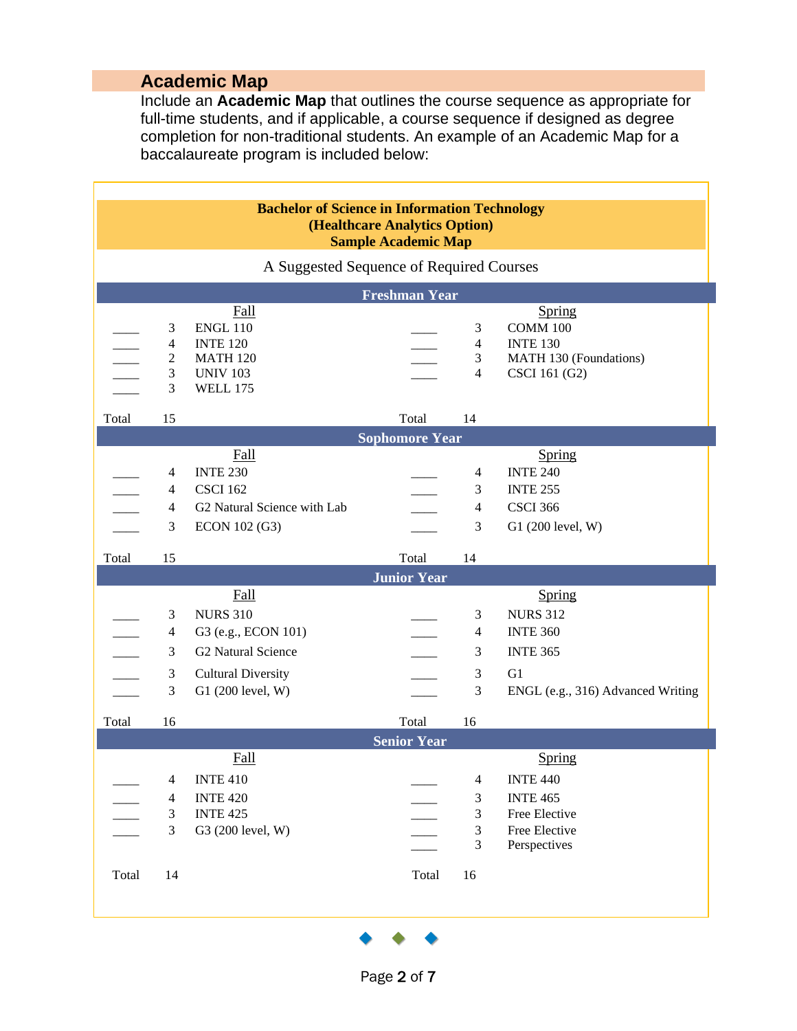# **Academic Map**

Include an **Academic Map** that outlines the course sequence as appropriate for full-time students, and if applicable, a course sequence if designed as degree completion for non-traditional students. An example of an Academic Map for a baccalaureate program is included below:

|       |                                     | <b>Bachelor of Science in Information Technology</b>                                                       | (Healthcare Analytics Option) |                                     |                                                                                                |
|-------|-------------------------------------|------------------------------------------------------------------------------------------------------------|-------------------------------|-------------------------------------|------------------------------------------------------------------------------------------------|
|       |                                     |                                                                                                            | <b>Sample Academic Map</b>    |                                     |                                                                                                |
|       |                                     | A Suggested Sequence of Required Courses                                                                   |                               |                                     |                                                                                                |
|       |                                     |                                                                                                            | <b>Freshman Year</b>          |                                     |                                                                                                |
|       |                                     | <b>Fall</b><br><b>ENGL 110</b><br><b>INTE 120</b><br><b>MATH 120</b><br><b>UNIV 103</b><br><b>WELL 175</b> |                               | $\overline{4}$                      | Spring<br><b>COMM 100</b><br><b>INTE 130</b><br>MATH 130 (Foundations)<br>CSCI 161 (G2)        |
| Total | 15                                  |                                                                                                            | Total                         | 14                                  |                                                                                                |
|       |                                     |                                                                                                            | <b>Sophomore Year</b>         |                                     |                                                                                                |
|       | 3                                   | <b>Fall</b><br><b>INTE 230</b><br><b>CSCI 162</b><br>G2 Natural Science with Lab<br>ECON 102 (G3)          |                               | $\mathcal{E}$                       | Spring<br><b>INTE 240</b><br><b>INTE 255</b><br><b>CSCI 366</b><br>G1 (200 level, W)           |
| Total | 15                                  |                                                                                                            | Total                         |                                     |                                                                                                |
|       |                                     | <b>Fall</b>                                                                                                | <b>Junior Year</b>            |                                     | Spring                                                                                         |
|       |                                     | <b>NURS 310</b><br>G3 (e.g., ECON 101)                                                                     |                               |                                     | <b>NURS 312</b><br><b>INTE 360</b>                                                             |
|       | $\mathcal{R}$<br>3<br>$\mathcal{E}$ | G2 Natural Science<br><b>Cultural Diversity</b><br>G1 (200 level, W)                                       |                               | 3<br>$\mathcal{E}$<br>$\mathcal{R}$ | <b>INTE 365</b><br>G1<br>ENGL (e.g., 316) Advanced Writing                                     |
| Total | 16                                  |                                                                                                            | Total                         | 16                                  |                                                                                                |
|       |                                     |                                                                                                            | <b>Senior Year</b>            |                                     |                                                                                                |
|       | 3                                   | <b>Fall</b><br><b>INTE 410</b><br><b>INTE 420</b><br><b>INTE 425</b><br>G3 (200 level, W)                  |                               | $\overline{4}$<br>3<br>3            | Spring<br><b>INTE 440</b><br><b>INTE 465</b><br>Free Elective<br>Free Elective<br>Perspectives |

◆ ◆ ◆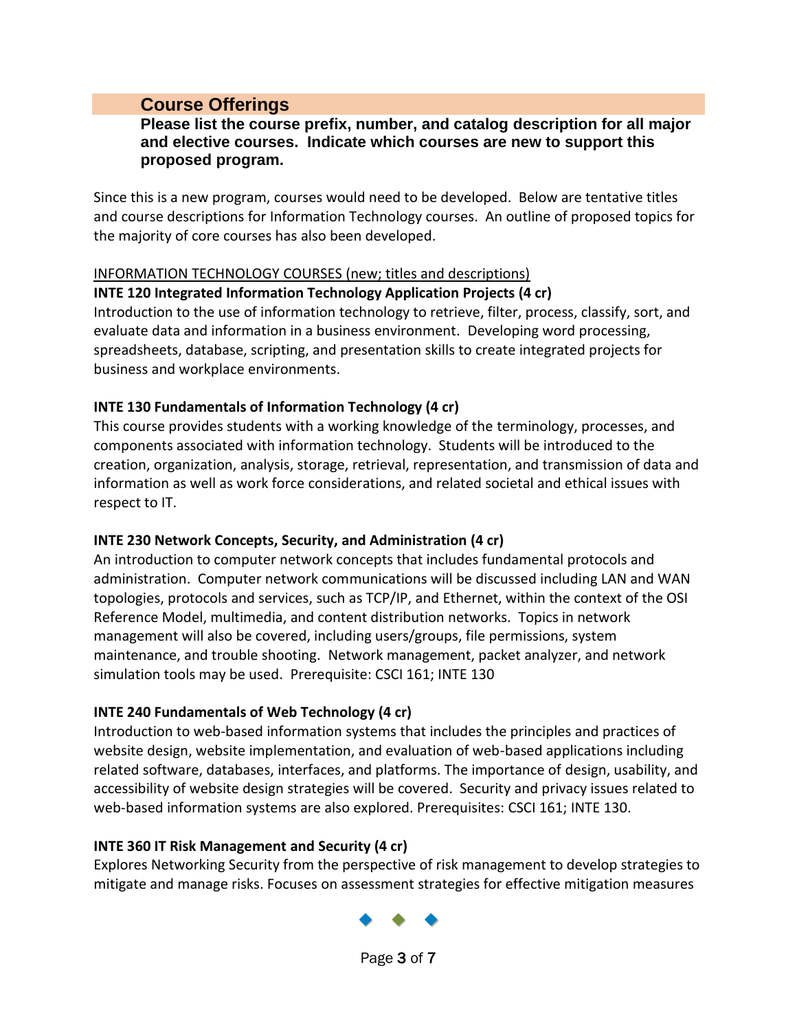# **Course Offerings**

#### **Please list the course prefix, number, and catalog description for all major and elective courses. Indicate which courses are new to support this proposed program.**

Since this is a new program, courses would need to be developed. Below are tentative titles and course descriptions for Information Technology courses. An outline of proposed topics for the majority of core courses has also been developed.

#### INFORMATION TECHNOLOGY COURSES (new; titles and descriptions)

#### **INTE 120 Integrated Information Technology Application Projects (4 cr)**

Introduction to the use of information technology to retrieve, filter, process, classify, sort, and evaluate data and information in a business environment. Developing word processing, spreadsheets, database, scripting, and presentation skills to create integrated projects for business and workplace environments.

#### **INTE 130 Fundamentals of Information Technology (4 cr)**

This course provides students with a working knowledge of the terminology, processes, and components associated with information technology. Students will be introduced to the creation, organization, analysis, storage, retrieval, representation, and transmission of data and information as well as work force considerations, and related societal and ethical issues with respect to IT.

#### **INTE 230 Network Concepts, Security, and Administration (4 cr)**

An introduction to computer network concepts that includes fundamental protocols and administration. Computer network communications will be discussed including LAN and WAN topologies, protocols and services, such as TCP/IP, and Ethernet, within the context of the OSI Reference Model, multimedia, and content distribution networks. Topics in network management will also be covered, including users/groups, file permissions, system maintenance, and trouble shooting. Network management, packet analyzer, and network simulation tools may be used. Prerequisite: CSCI 161; INTE 130

#### **INTE 240 Fundamentals of Web Technology (4 cr)**

Introduction to web-based information systems that includes the principles and practices of website design, website implementation, and evaluation of web-based applications including related software, databases, interfaces, and platforms. The importance of design, usability, and accessibility of website design strategies will be covered. Security and privacy issues related to web-based information systems are also explored. Prerequisites: CSCI 161; INTE 130.

#### **INTE 360 IT Risk Management and Security (4 cr)**

Explores Networking Security from the perspective of risk management to develop strategies to mitigate and manage risks. Focuses on assessment strategies for effective mitigation measures



Page 3 of 7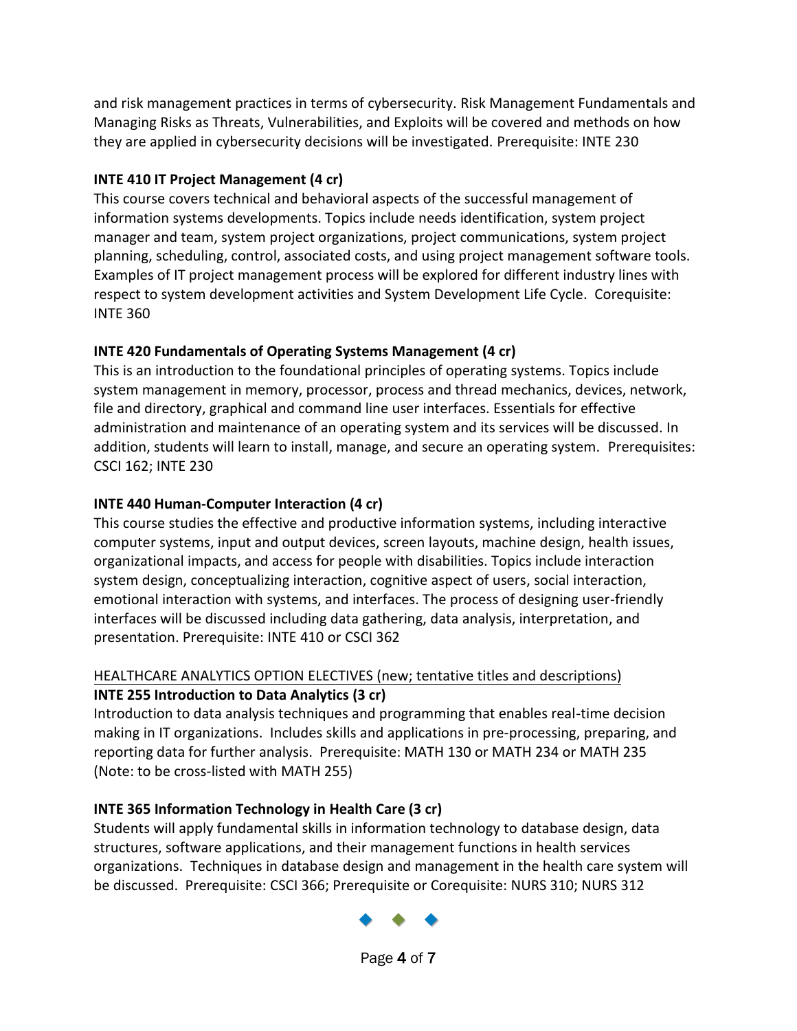and risk management practices in terms of cybersecurity. Risk Management Fundamentals and Managing Risks as Threats, Vulnerabilities, and Exploits will be covered and methods on how they are applied in cybersecurity decisions will be investigated. Prerequisite: INTE 230

# **INTE 410 IT Project Management (4 cr)**

This course covers technical and behavioral aspects of the successful management of information systems developments. Topics include needs identification, system project manager and team, system project organizations, project communications, system project planning, scheduling, control, associated costs, and using project management software tools. Examples of IT project management process will be explored for different industry lines with respect to system development activities and System Development Life Cycle. Corequisite: INTE 360

# **INTE 420 Fundamentals of Operating Systems Management (4 cr)**

This is an introduction to the foundational principles of operating systems. Topics include system management in memory, processor, process and thread mechanics, devices, network, file and directory, graphical and command line user interfaces. Essentials for effective administration and maintenance of an operating system and its services will be discussed. In addition, students will learn to install, manage, and secure an operating system. Prerequisites: CSCI 162; INTE 230

# **INTE 440 Human-Computer Interaction (4 cr)**

This course studies the effective and productive information systems, including interactive computer systems, input and output devices, screen layouts, machine design, health issues, organizational impacts, and access for people with disabilities. Topics include interaction system design, conceptualizing interaction, cognitive aspect of users, social interaction, emotional interaction with systems, and interfaces. The process of designing user-friendly interfaces will be discussed including data gathering, data analysis, interpretation, and presentation. Prerequisite: INTE 410 or CSCI 362

# HEALTHCARE ANALYTICS OPTION ELECTIVES (new; tentative titles and descriptions) **INTE 255 Introduction to Data Analytics (3 cr)**

Introduction to data analysis techniques and programming that enables real-time decision making in IT organizations. Includes skills and applications in pre-processing, preparing, and reporting data for further analysis. Prerequisite: MATH 130 or MATH 234 or MATH 235 (Note: to be cross-listed with MATH 255)

# **INTE 365 Information Technology in Health Care (3 cr)**

Students will apply fundamental skills in information technology to database design, data structures, software applications, and their management functions in health services organizations. Techniques in database design and management in the health care system will be discussed. Prerequisite: CSCI 366; Prerequisite or Corequisite: NURS 310; NURS 312

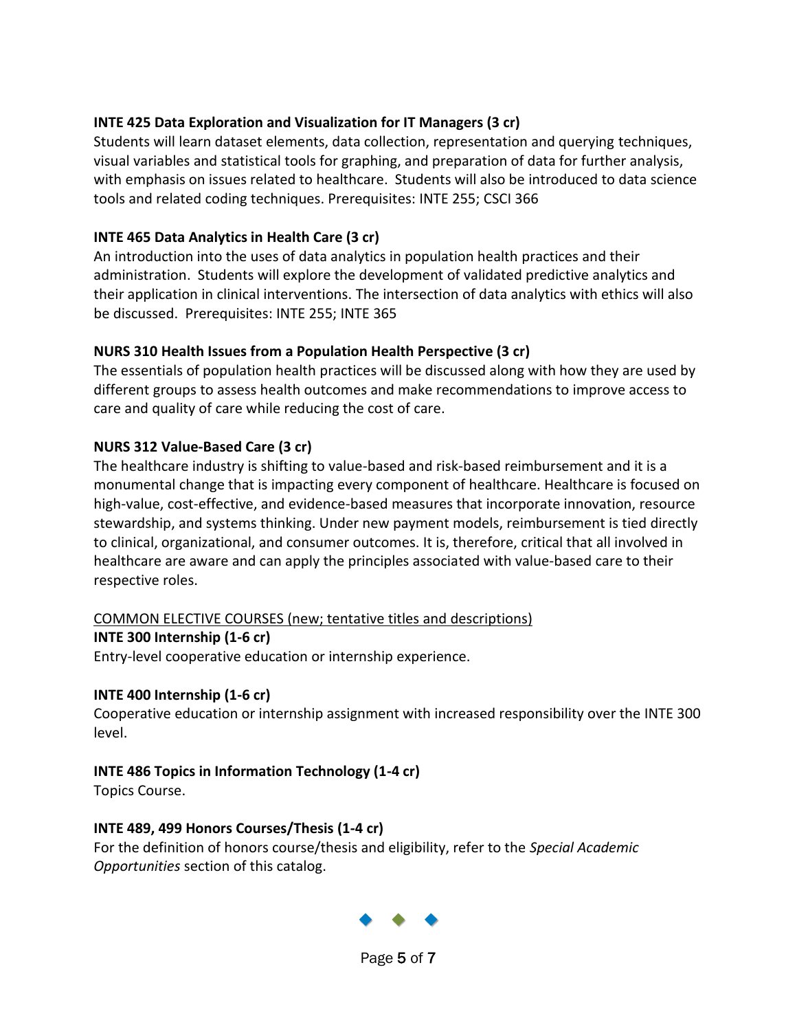## **INTE 425 Data Exploration and Visualization for IT Managers (3 cr)**

Students will learn dataset elements, data collection, representation and querying techniques, visual variables and statistical tools for graphing, and preparation of data for further analysis, with emphasis on issues related to healthcare. Students will also be introduced to data science tools and related coding techniques. Prerequisites: INTE 255; CSCI 366

## **INTE 465 Data Analytics in Health Care (3 cr)**

An introduction into the uses of data analytics in population health practices and their administration. Students will explore the development of validated predictive analytics and their application in clinical interventions. The intersection of data analytics with ethics will also be discussed. Prerequisites: INTE 255; INTE 365

## **NURS 310 Health Issues from a Population Health Perspective (3 cr)**

The essentials of population health practices will be discussed along with how they are used by different groups to assess health outcomes and make recommendations to improve access to care and quality of care while reducing the cost of care.

## **NURS 312 Value-Based Care (3 cr)**

The healthcare industry is shifting to value-based and risk-based reimbursement and it is a monumental change that is impacting every component of healthcare. Healthcare is focused on high-value, cost-effective, and evidence-based measures that incorporate innovation, resource stewardship, and systems thinking. Under new payment models, reimbursement is tied directly to clinical, organizational, and consumer outcomes. It is, therefore, critical that all involved in healthcare are aware and can apply the principles associated with value-based care to their respective roles.

#### COMMON ELECTIVE COURSES (new; tentative titles and descriptions)

**INTE 300 Internship (1-6 cr)**

Entry-level cooperative education or internship experience.

#### **INTE 400 Internship (1-6 cr)**

Cooperative education or internship assignment with increased responsibility over the INTE 300 level.

# **INTE 486 Topics in Information Technology (1-4 cr)**

Topics Course.

#### **INTE 489, 499 Honors Courses/Thesis (1-4 cr)**

For the definition of honors course/thesis and eligibility, refer to the *Special Academic Opportunities* section of this catalog.

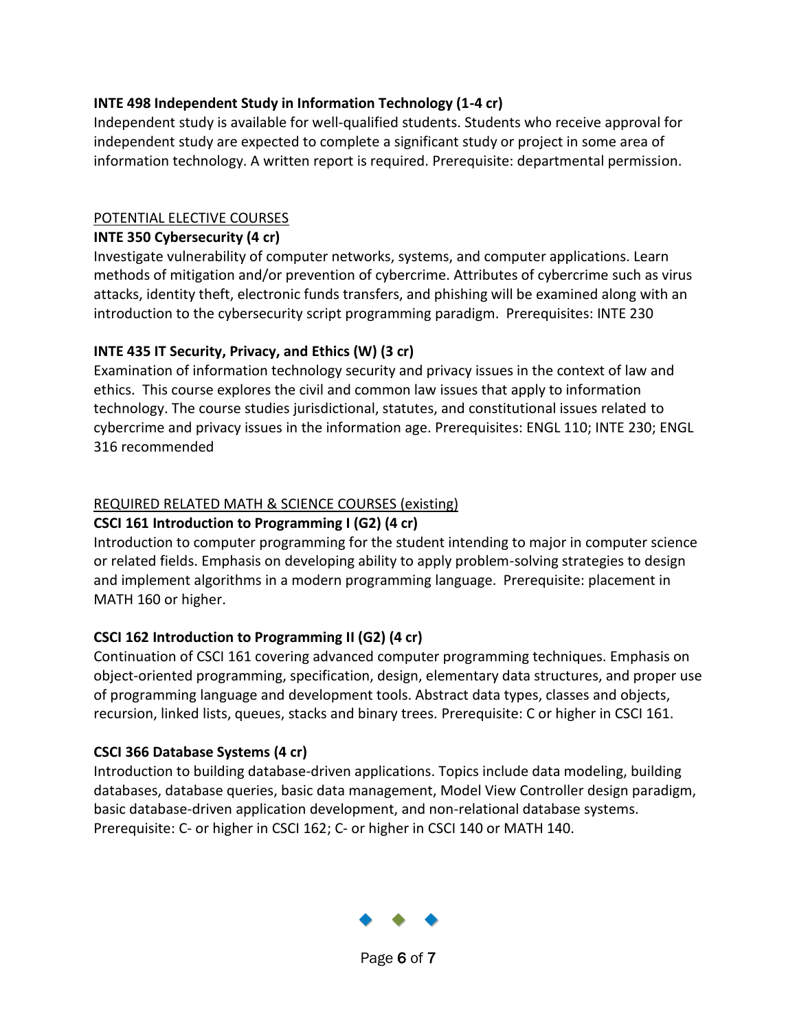### **INTE 498 Independent Study in Information Technology (1-4 cr)**

Independent study is available for well-qualified students. Students who receive approval for independent study are expected to complete a significant study or project in some area of information technology. A written report is required. Prerequisite: departmental permission.

## POTENTIAL ELECTIVE COURSES

# **INTE 350 Cybersecurity (4 cr)**

Investigate vulnerability of computer networks, systems, and computer applications. Learn methods of mitigation and/or prevention of cybercrime. Attributes of cybercrime such as virus attacks, identity theft, electronic funds transfers, and phishing will be examined along with an introduction to the cybersecurity script programming paradigm. Prerequisites: INTE 230

# **INTE 435 IT Security, Privacy, and Ethics (W) (3 cr)**

Examination of information technology security and privacy issues in the context of law and ethics. This course explores the civil and common law issues that apply to information technology. The course studies jurisdictional, statutes, and constitutional issues related to cybercrime and privacy issues in the information age. Prerequisites: ENGL 110; INTE 230; ENGL 316 recommended

# REQUIRED RELATED MATH & SCIENCE COURSES (existing)

# **CSCI 161 Introduction to Programming I (G2) (4 cr)**

Introduction to computer programming for the student intending to major in computer science or related fields. Emphasis on developing ability to apply problem-solving strategies to design and implement algorithms in a modern programming language. Prerequisite: placement in MATH 160 or higher.

# **CSCI 162 Introduction to Programming II (G2) (4 cr)**

Continuation of CSCI 161 covering advanced computer programming techniques. Emphasis on object-oriented programming, specification, design, elementary data structures, and proper use of programming language and development tools. Abstract data types, classes and objects, recursion, linked lists, queues, stacks and binary trees. Prerequisite: C or higher in CSCI 161.

# **CSCI 366 Database Systems (4 cr)**

Introduction to building database-driven applications. Topics include data modeling, building databases, database queries, basic data management, Model View Controller design paradigm, basic database-driven application development, and non-relational database systems. Prerequisite: C- or higher in CSCI 162; C- or higher in CSCI 140 or MATH 140.